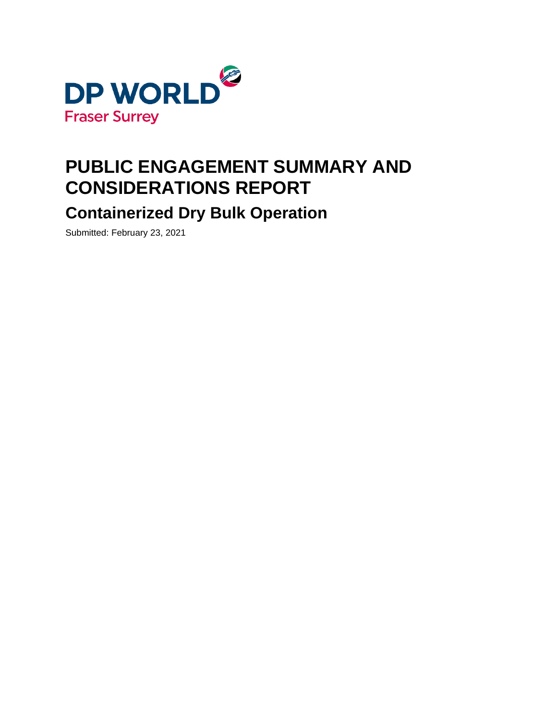

# **PUBLIC ENGAGEMENT SUMMARY AND CONSIDERATIONS REPORT**

**Containerized Dry Bulk Operation**

Submitted: February 23, 2021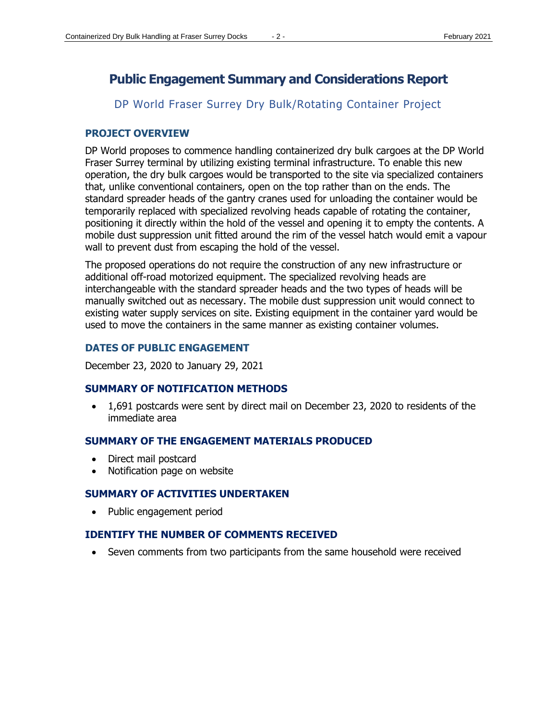## **Public Engagement Summary and Considerations Report**

## DP World Fraser Surrey Dry Bulk/Rotating Container Project

#### **PROJECT OVERVIEW**

DP World proposes to commence handling containerized dry bulk cargoes at the DP World Fraser Surrey terminal by utilizing existing terminal infrastructure. To enable this new operation, the dry bulk cargoes would be transported to the site via specialized containers that, unlike conventional containers, open on the top rather than on the ends. The standard spreader heads of the gantry cranes used for unloading the container would be temporarily replaced with specialized revolving heads capable of rotating the container, positioning it directly within the hold of the vessel and opening it to empty the contents. A mobile dust suppression unit fitted around the rim of the vessel hatch would emit a vapour wall to prevent dust from escaping the hold of the vessel.

The proposed operations do not require the construction of any new infrastructure or additional off-road motorized equipment. The specialized revolving heads are interchangeable with the standard spreader heads and the two types of heads will be manually switched out as necessary. The mobile dust suppression unit would connect to existing water supply services on site. Existing equipment in the container yard would be used to move the containers in the same manner as existing container volumes.

## **DATES OF PUBLIC ENGAGEMENT**

December 23, 2020 to January 29, 2021

#### **SUMMARY OF NOTIFICATION METHODS**

• 1,691 postcards were sent by direct mail on December 23, 2020 to residents of the immediate area

#### **SUMMARY OF THE ENGAGEMENT MATERIALS PRODUCED**

- Direct mail postcard
- Notification page on website

#### **SUMMARY OF ACTIVITIES UNDERTAKEN**

• Public engagement period

## **IDENTIFY THE NUMBER OF COMMENTS RECEIVED**

• Seven comments from two participants from the same household were received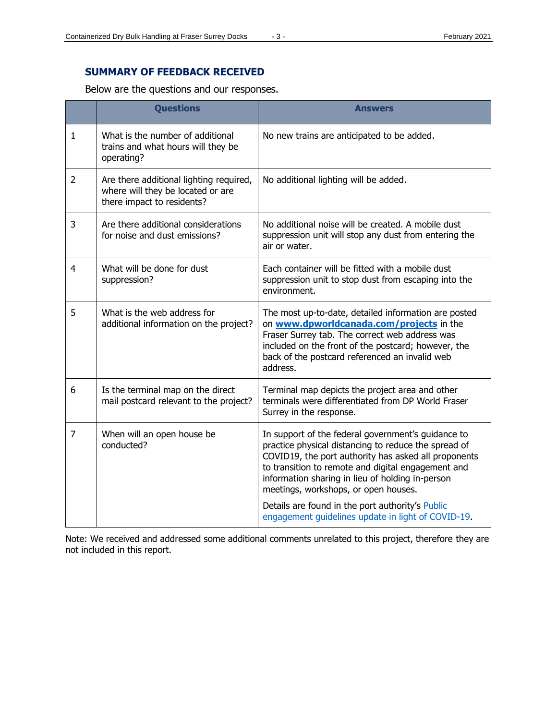## **SUMMARY OF FEEDBACK RECEIVED**

Below are the questions and our responses.

|                | <b>Questions</b>                                                                                           | <b>Answers</b>                                                                                                                                                                                                                                                                                                       |
|----------------|------------------------------------------------------------------------------------------------------------|----------------------------------------------------------------------------------------------------------------------------------------------------------------------------------------------------------------------------------------------------------------------------------------------------------------------|
| 1              | What is the number of additional<br>trains and what hours will they be<br>operating?                       | No new trains are anticipated to be added.                                                                                                                                                                                                                                                                           |
| $\overline{2}$ | Are there additional lighting required,<br>where will they be located or are<br>there impact to residents? | No additional lighting will be added.                                                                                                                                                                                                                                                                                |
| 3              | Are there additional considerations<br>for noise and dust emissions?                                       | No additional noise will be created. A mobile dust<br>suppression unit will stop any dust from entering the<br>air or water.                                                                                                                                                                                         |
| 4              | What will be done for dust<br>suppression?                                                                 | Each container will be fitted with a mobile dust<br>suppression unit to stop dust from escaping into the<br>environment.                                                                                                                                                                                             |
| 5              | What is the web address for<br>additional information on the project?                                      | The most up-to-date, detailed information are posted<br>on www.dpworldcanada.com/projects in the<br>Fraser Surrey tab. The correct web address was<br>included on the front of the postcard; however, the<br>back of the postcard referenced an invalid web<br>address.                                              |
| 6              | Is the terminal map on the direct<br>mail postcard relevant to the project?                                | Terminal map depicts the project area and other<br>terminals were differentiated from DP World Fraser<br>Surrey in the response.                                                                                                                                                                                     |
| $\overline{7}$ | When will an open house be<br>conducted?                                                                   | In support of the federal government's guidance to<br>practice physical distancing to reduce the spread of<br>COVID19, the port authority has asked all proponents<br>to transition to remote and digital engagement and<br>information sharing in lieu of holding in-person<br>meetings, workshops, or open houses. |
|                |                                                                                                            | Details are found in the port authority's Public<br>engagement quidelines update in light of COVID-19.                                                                                                                                                                                                               |

Note: We received and addressed some additional comments unrelated to this project, therefore they are not included in this report.